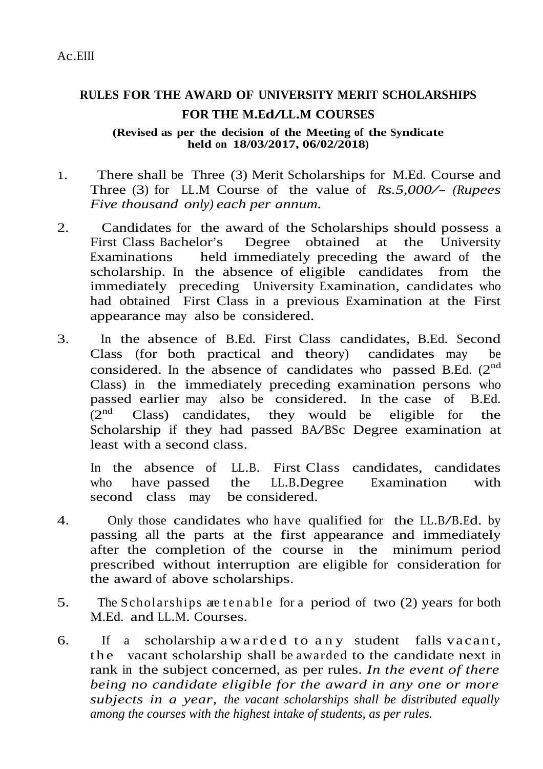## **RULES FOR THE AWARD OF UNIVERSITY MERIT SCHOLARSHIPS FOR THE M.Ed/LL.M COURSES**

**(Revised as per the decision of the Meeting of the Syndicate held on 18/03/2017, 06/02/2018)**

- 1. There shall be Three (3) Merit Scholarships for M.Ed. Course and Three (3) for LL.M Course of the value of *Rs.5,000/- (Rupees Five thousand only) each per annum.*
- 2. Candidates for the award of the Scholarships should possess a First Class Bachelor's Degree obtained at the University Examinations held immediately preceding the award of the scholarship. In the absence of eligible candidates from the immediately preceding University Examination, candidates who had obtained First Class in a previous Examination at the First appearance may also be considered.
- 3. In the absence of B.Ed. First Class candidates, B.Ed. Second Class (for both practical and theory) candidates may be considered. In the absence of candidates who passed B.Ed.  $(2^{nd}$ Class) in the immediately preceding examination persons who passed earlier may also be considered. In the case of B.Ed.  $(2<sup>nd</sup>$ Class) candidates, they would be eligible for the Scholarship if they had passed BA/BSc Degree examination at least with a second class.

In the absence of LL.B. First Class candidates, candidates who have passed the LL.B.Degree Examination with second class may be considered.

- 4. Only those candidates who have qualified for the LL.B/B.Ed. by passing all the parts at the first appearance and immediately after the completion of the course in the minimum period prescribed without interruption are eligible for consideration for the award of above scholarships.
- 5. The Scholarships are tenable for a period of two (2) years for both M.Ed. and LL.M. Courses.
- 6. If a scholarship aw arded to any student falls vacant, the vacant scholarship shall be awarded to the candidate next in rank in the subject concerned, as per rules. *In the event of there being no candidate eligible for the award in any one or more subjects in a year, the vacant scholarships shall be distributed equally among the courses with the highest intake of students, as per rules.*